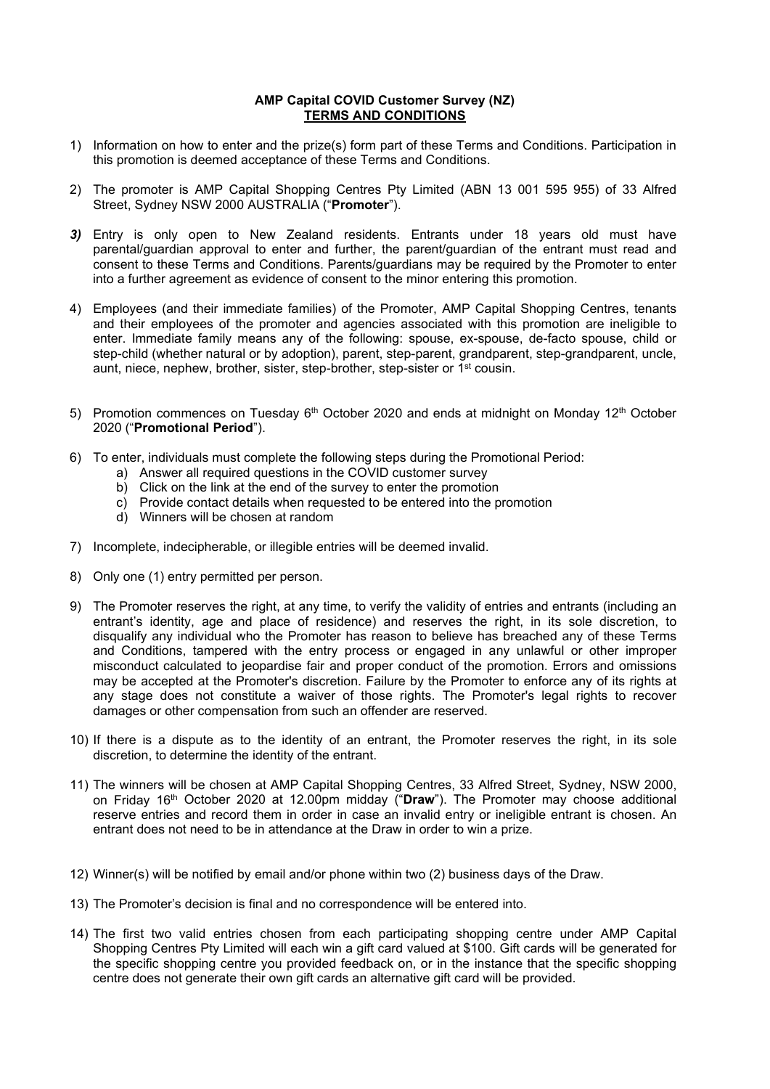## **AMP Capital COVID Customer Survey (NZ) TERMS AND CONDITIONS**

- 1) Information on how to enter and the prize(s) form part of these Terms and Conditions. Participation in this promotion is deemed acceptance of these Terms and Conditions.
- 2) The promoter is AMP Capital Shopping Centres Pty Limited (ABN 13 001 595 955) of 33 Alfred Street, Sydney NSW 2000 AUSTRALIA ("**Promoter**").
- *3)* Entry is only open to New Zealand residents. Entrants under 18 years old must have parental/guardian approval to enter and further, the parent/guardian of the entrant must read and consent to these Terms and Conditions. Parents/guardians may be required by the Promoter to enter into a further agreement as evidence of consent to the minor entering this promotion.
- 4) Employees (and their immediate families) of the Promoter, AMP Capital Shopping Centres, tenants and their employees of the promoter and agencies associated with this promotion are ineligible to enter. Immediate family means any of the following: spouse, ex-spouse, de-facto spouse, child or step-child (whether natural or by adoption), parent, step-parent, grandparent, step-grandparent, uncle, aunt, niece, nephew, brother, sister, step-brother, step-sister or 1st cousin.
- 5) Promotion commences on Tuesday  $6<sup>th</sup>$  October 2020 and ends at midnight on Monday 12<sup>th</sup> October 2020 ("**Promotional Period**").
- 6) To enter, individuals must complete the following steps during the Promotional Period:
	- a) Answer all required questions in the COVID customer survey
	- b) Click on the link at the end of the survey to enter the promotion
	- c) Provide contact details when requested to be entered into the promotion
	- d) Winners will be chosen at random
- 7) Incomplete, indecipherable, or illegible entries will be deemed invalid.
- 8) Only one (1) entry permitted per person.
- 9) The Promoter reserves the right, at any time, to verify the validity of entries and entrants (including an entrant's identity, age and place of residence) and reserves the right, in its sole discretion, to disqualify any individual who the Promoter has reason to believe has breached any of these Terms and Conditions, tampered with the entry process or engaged in any unlawful or other improper misconduct calculated to jeopardise fair and proper conduct of the promotion. Errors and omissions may be accepted at the Promoter's discretion. Failure by the Promoter to enforce any of its rights at any stage does not constitute a waiver of those rights. The Promoter's legal rights to recover damages or other compensation from such an offender are reserved.
- 10) If there is a dispute as to the identity of an entrant, the Promoter reserves the right, in its sole discretion, to determine the identity of the entrant.
- 11) The winners will be chosen at AMP Capital Shopping Centres, 33 Alfred Street, Sydney, NSW 2000, on Friday 16th October 2020 at 12.00pm midday ("**Draw**"). The Promoter may choose additional reserve entries and record them in order in case an invalid entry or ineligible entrant is chosen. An entrant does not need to be in attendance at the Draw in order to win a prize.
- 12) Winner(s) will be notified by email and/or phone within two (2) business days of the Draw.
- 13) The Promoter's decision is final and no correspondence will be entered into.
- 14) The first two valid entries chosen from each participating shopping centre under AMP Capital Shopping Centres Pty Limited will each win a gift card valued at \$100. Gift cards will be generated for the specific shopping centre you provided feedback on, or in the instance that the specific shopping centre does not generate their own gift cards an alternative gift card will be provided.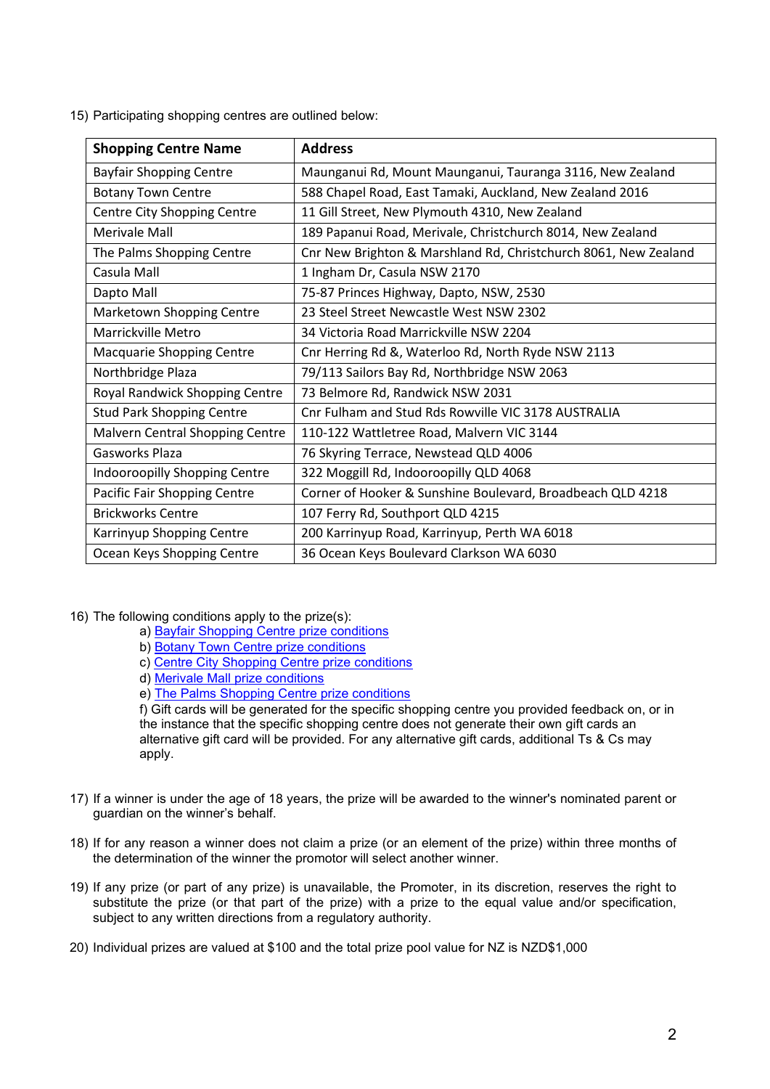15) Participating shopping centres are outlined below:

| <b>Shopping Centre Name</b>            | <b>Address</b>                                                  |
|----------------------------------------|-----------------------------------------------------------------|
| <b>Bayfair Shopping Centre</b>         | Maunganui Rd, Mount Maunganui, Tauranga 3116, New Zealand       |
| <b>Botany Town Centre</b>              | 588 Chapel Road, East Tamaki, Auckland, New Zealand 2016        |
| Centre City Shopping Centre            | 11 Gill Street, New Plymouth 4310, New Zealand                  |
| Merivale Mall                          | 189 Papanui Road, Merivale, Christchurch 8014, New Zealand      |
| The Palms Shopping Centre              | Cnr New Brighton & Marshland Rd, Christchurch 8061, New Zealand |
| Casula Mall                            | 1 Ingham Dr, Casula NSW 2170                                    |
| Dapto Mall                             | 75-87 Princes Highway, Dapto, NSW, 2530                         |
| Marketown Shopping Centre              | 23 Steel Street Newcastle West NSW 2302                         |
| Marrickville Metro                     | 34 Victoria Road Marrickville NSW 2204                          |
| Macquarie Shopping Centre              | Cnr Herring Rd &, Waterloo Rd, North Ryde NSW 2113              |
| Northbridge Plaza                      | 79/113 Sailors Bay Rd, Northbridge NSW 2063                     |
| Royal Randwick Shopping Centre         | 73 Belmore Rd, Randwick NSW 2031                                |
| <b>Stud Park Shopping Centre</b>       | Cnr Fulham and Stud Rds Rowville VIC 3178 AUSTRALIA             |
| <b>Malvern Central Shopping Centre</b> | 110-122 Wattletree Road, Malvern VIC 3144                       |
| Gasworks Plaza                         | 76 Skyring Terrace, Newstead QLD 4006                           |
| Indooroopilly Shopping Centre          | 322 Moggill Rd, Indooroopilly QLD 4068                          |
| Pacific Fair Shopping Centre           | Corner of Hooker & Sunshine Boulevard, Broadbeach QLD 4218      |
| <b>Brickworks Centre</b>               | 107 Ferry Rd, Southport QLD 4215                                |
| Karrinyup Shopping Centre              | 200 Karrinyup Road, Karrinyup, Perth WA 6018                    |
| Ocean Keys Shopping Centre             | 36 Ocean Keys Boulevard Clarkson WA 6030                        |

- 16) The following conditions apply to the prize(s):
	- a) [Bayfair Shopping Centre prize conditions](https://www.bayfair.co.nz/getmedia/f0300fe2-f24c-4850-98cb-3f169cb212c6/GiftCard_T-Cs_v3.pdf.aspx)
	- b) [Botany Town Centre prize conditions](https://www.botanytowncentre.co.nz/media/files/botanytowncentre/a2/a2869560-4210-48f7-8c84-9ade9e77bd9f.pdf)
	- c) [Centre City Shopping Centre prize conditions](https://www.centre-city.co.nz/media/files/centre_city/a4/a497654b-ff40-436d-b792-da4716b22862.pdf)
	- d) [Merivale Mall prize conditions](https://merivalemall.co.nz/gift-cards-terms-conditions-of-use/)
	- e) [The Palms Shopping Centre prize conditions](https://www.thepalms.co.nz/media/files/ThePalms/9e/9e4afc7d-e996-4ec6-bf9c-fa40fab28993.pdf)

f) Gift cards will be generated for the specific shopping centre you provided feedback on, or in the instance that the specific shopping centre does not generate their own gift cards an alternative gift card will be provided. For any alternative gift cards, additional Ts & Cs may apply.

- 17) If a winner is under the age of 18 years, the prize will be awarded to the winner's nominated parent or guardian on the winner's behalf.
- 18) If for any reason a winner does not claim a prize (or an element of the prize) within three months of the determination of the winner the promotor will select another winner.
- 19) If any prize (or part of any prize) is unavailable, the Promoter, in its discretion, reserves the right to substitute the prize (or that part of the prize) with a prize to the equal value and/or specification, subject to any written directions from a regulatory authority.
- 20) Individual prizes are valued at \$100 and the total prize pool value for NZ is NZD\$1,000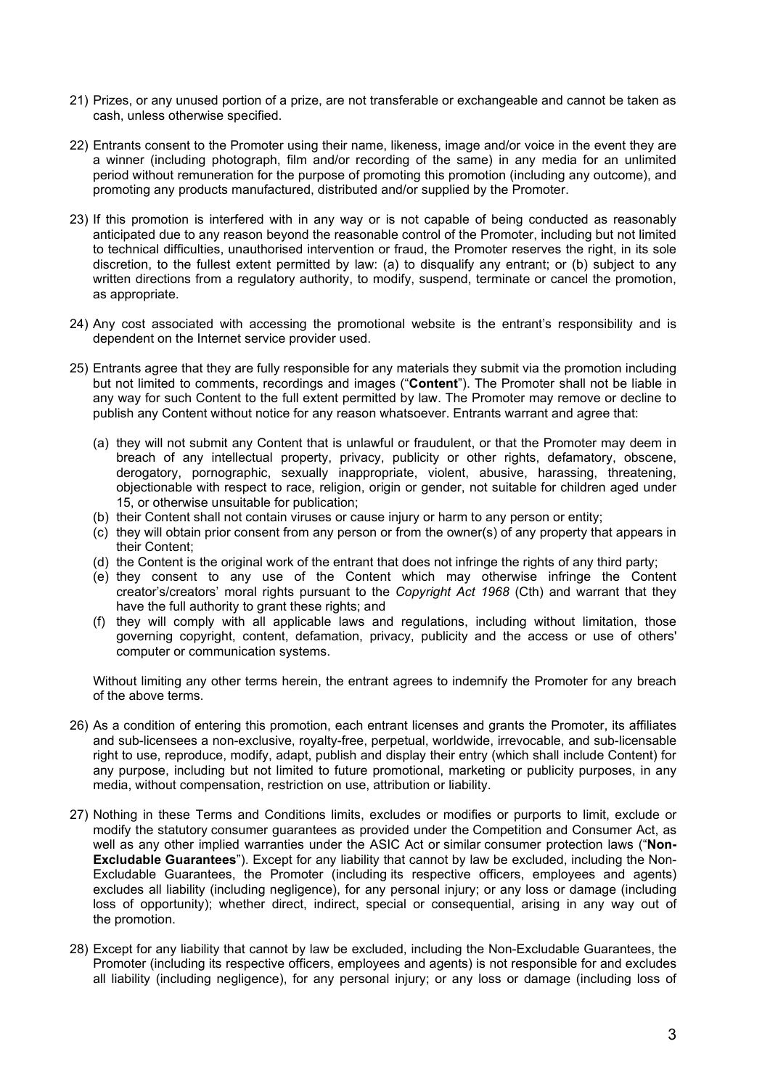- 21) Prizes, or any unused portion of a prize, are not transferable or exchangeable and cannot be taken as cash, unless otherwise specified.
- 22) Entrants consent to the Promoter using their name, likeness, image and/or voice in the event they are a winner (including photograph, film and/or recording of the same) in any media for an unlimited period without remuneration for the purpose of promoting this promotion (including any outcome), and promoting any products manufactured, distributed and/or supplied by the Promoter.
- 23) If this promotion is interfered with in any way or is not capable of being conducted as reasonably anticipated due to any reason beyond the reasonable control of the Promoter, including but not limited to technical difficulties, unauthorised intervention or fraud, the Promoter reserves the right, in its sole discretion, to the fullest extent permitted by law: (a) to disqualify any entrant; or (b) subject to any written directions from a regulatory authority, to modify, suspend, terminate or cancel the promotion, as appropriate.
- 24) Any cost associated with accessing the promotional website is the entrant's responsibility and is dependent on the Internet service provider used.
- 25) Entrants agree that they are fully responsible for any materials they submit via the promotion including but not limited to comments, recordings and images ("**Content**"). The Promoter shall not be liable in any way for such Content to the full extent permitted by law. The Promoter may remove or decline to publish any Content without notice for any reason whatsoever. Entrants warrant and agree that:
	- (a) they will not submit any Content that is unlawful or fraudulent, or that the Promoter may deem in breach of any intellectual property, privacy, publicity or other rights, defamatory, obscene, derogatory, pornographic, sexually inappropriate, violent, abusive, harassing, threatening, objectionable with respect to race, religion, origin or gender, not suitable for children aged under 15, or otherwise unsuitable for publication;
	- (b) their Content shall not contain viruses or cause injury or harm to any person or entity;
	- $(c)$  they will obtain prior consent from any person or from the owner(s) of any property that appears in their Content;
	- (d) the Content is the original work of the entrant that does not infringe the rights of any third party;
	- (e) they consent to any use of the Content which may otherwise infringe the Content creator's/creators' moral rights pursuant to the *Copyright Act 1968* (Cth) and warrant that they have the full authority to grant these rights; and
	- (f) they will comply with all applicable laws and regulations, including without limitation, those governing copyright, content, defamation, privacy, publicity and the access or use of others' computer or communication systems.

Without limiting any other terms herein, the entrant agrees to indemnify the Promoter for any breach of the above terms.

- 26) As a condition of entering this promotion, each entrant licenses and grants the Promoter, its affiliates and sub-licensees a non-exclusive, royalty-free, perpetual, worldwide, irrevocable, and sub-licensable right to use, reproduce, modify, adapt, publish and display their entry (which shall include Content) for any purpose, including but not limited to future promotional, marketing or publicity purposes, in any media, without compensation, restriction on use, attribution or liability.
- 27) Nothing in these Terms and Conditions limits, excludes or modifies or purports to limit, exclude or modify the statutory consumer guarantees as provided under the Competition and Consumer Act, as well as any other implied warranties under the ASIC Act or similar consumer protection laws ("**Non-Excludable Guarantees**"). Except for any liability that cannot by law be excluded, including the Non-Excludable Guarantees, the Promoter (including its respective officers, employees and agents) excludes all liability (including negligence), for any personal injury; or any loss or damage (including loss of opportunity); whether direct, indirect, special or consequential, arising in any way out of the promotion.
- 28) Except for any liability that cannot by law be excluded, including the Non-Excludable Guarantees, the Promoter (including its respective officers, employees and agents) is not responsible for and excludes all liability (including negligence), for any personal injury; or any loss or damage (including loss of